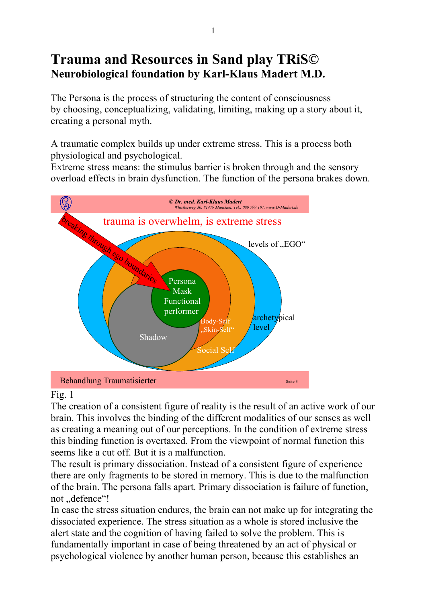# **Trauma and Resources in Sand play TRiS© Neurobiological foundation by Karl-Klaus Madert M.D.**

The Persona is the process of structuring the content of consciousness by choosing, conceptualizing, validating, limiting, making up a story about it, creating a personal myth.

A traumatic complex builds up under extreme stress. This is a process both physiological and psychological.

Extreme stress means: the stimulus barrier is broken through and the sensory overload effects in brain dysfunction. The function of the persona brakes down.



## Fig. 1

The creation of a consistent figure of reality is the result of an active work of our brain. This involves the binding of the different modalities of our senses as well as creating a meaning out of our perceptions. In the condition of extreme stress this binding function is overtaxed. From the viewpoint of normal function this seems like a cut off. But it is a malfunction.

The result is primary dissociation. Instead of a consistent figure of experience there are only fragments to be stored in memory. This is due to the malfunction of the brain. The persona falls apart. Primary dissociation is failure of function, not ..defence"!

In case the stress situation endures, the brain can not make up for integrating the dissociated experience. The stress situation as a whole is stored inclusive the alert state and the cognition of having failed to solve the problem. This is fundamentally important in case of being threatened by an act of physical or psychological violence by another human person, because this establishes an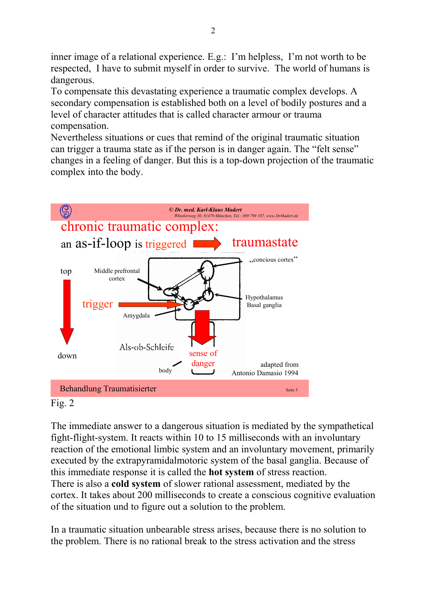inner image of a relational experience. E.g.: I'm helpless, I'm not worth to be respected, I have to submit myself in order to survive. The world of humans is dangerous.

To compensate this devastating experience a traumatic complex develops. A secondary compensation is established both on a level of bodily postures and a level of character attitudes that is called character armour or trauma compensation.

Nevertheless situations or cues that remind of the original traumatic situation can trigger a trauma state as if the person is in danger again. The "felt sense" changes in a feeling of danger. But this is a top-down projection of the traumatic complex into the body.



Fig. 2

The immediate answer to a dangerous situation is mediated by the sympathetical fight-flight-system. It reacts within 10 to 15 milliseconds with an involuntary reaction of the emotional limbic system and an involuntary movement, primarily executed by the extrapyramidalmotoric system of the basal ganglia. Because of this immediate response it is called the **hot system** of stress reaction. There is also a **cold system** of slower rational assessment, mediated by the cortex. It takes about 200 milliseconds to create a conscious cognitive evaluation of the situation und to figure out a solution to the problem.

In a traumatic situation unbearable stress arises, because there is no solution to the problem. There is no rational break to the stress activation and the stress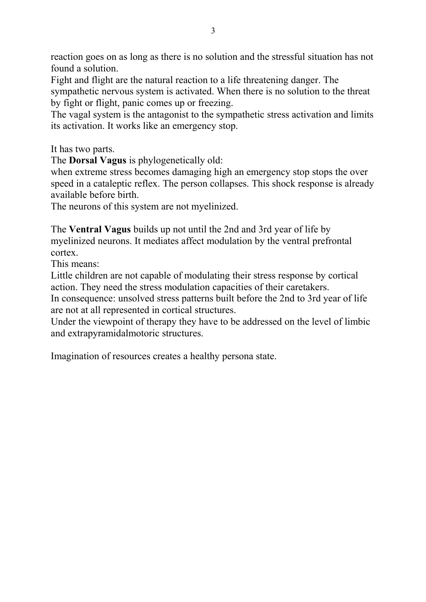reaction goes on as long as there is no solution and the stressful situation has not found a solution.

Fight and flight are the natural reaction to a life threatening danger. The sympathetic nervous system is activated. When there is no solution to the threat by fight or flight, panic comes up or freezing.

The vagal system is the antagonist to the sympathetic stress activation and limits its activation. It works like an emergency stop.

It has two parts.

The **Dorsal Vagus** is phylogenetically old:

when extreme stress becomes damaging high an emergency stop stops the over speed in a cataleptic reflex. The person collapses. This shock response is already available before birth.

The neurons of this system are not myelinized.

The **Ventral Vagus** builds up not until the 2nd and 3rd year of life by myelinized neurons. It mediates affect modulation by the ventral prefrontal cortex.

This means:

Little children are not capable of modulating their stress response by cortical action. They need the stress modulation capacities of their caretakers.

In consequence: unsolved stress patterns built before the 2nd to 3rd year of life are not at all represented in cortical structures.

Under the viewpoint of therapy they have to be addressed on the level of limbic and extrapyramidalmotoric structures.

Imagination of resources creates a healthy persona state.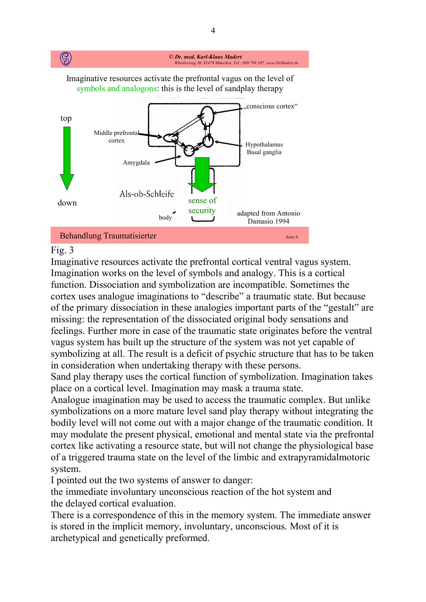

#### Fig. 3

Imaginative resources activate the prefrontal cortical ventral vagus system. Imagination works on the level of symbols and analogy. This is a cortical function. Dissociation and symbolization are incompatible. Sometimes the cortex uses analogue imaginations to "describe" a traumatic state. But because of the primary dissociation in these analogies important parts of the "gestalt" are missing: the representation of the dissociated original body sensations and feelings. Further more in case of the traumatic state originates before the ventral vagus system has built up the structure of the system was not yet capable of symbolizing at all. The result is a deficit of psychic structure that has to be taken in consideration when undertaking therapy with these persons.

Sand play therapy uses the cortical function of symbolization. Imagination takes place on a cortical level. Imagination may mask a trauma state.

Analogue imagination may be used to access the traumatic complex. But unlike symbolizations on a more mature level sand play therapy without integrating the bodily level will not come out with a major change of the traumatic condition. It may modulate the present physical, emotional and mental state via the prefrontal cortex like activating a resource state, but will not change the physiological base of a triggered trauma state on the level of the limbic and extrapyramidalmotoric system.

I pointed out the two systems of answer to danger:

the immediate involuntary unconscious reaction of the hot system and the delayed cortical evaluation.

There is a correspondence of this in the memory system. The immediate answer is stored in the implicit memory, involuntary, unconscious. Most of it is archetypical and genetically preformed.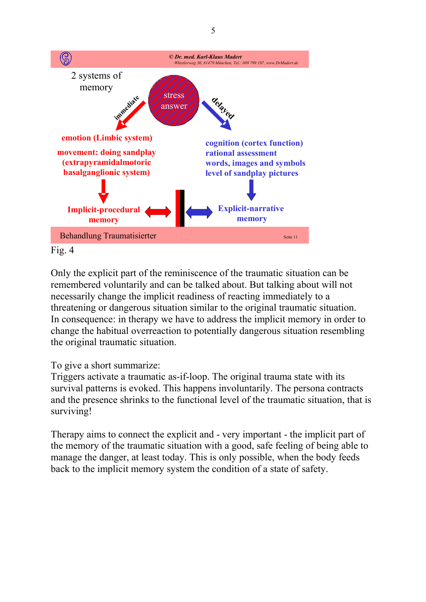

Only the explicit part of the reminiscence of the traumatic situation can be remembered voluntarily and can be talked about. But talking about will not necessarily change the implicit readiness of reacting immediately to a threatening or dangerous situation similar to the original traumatic situation. In consequence: in therapy we have to address the implicit memory in order to change the habitual overreaction to potentially dangerous situation resembling the original traumatic situation.

## To give a short summarize:

Triggers activate a traumatic as-if-loop. The original trauma state with its survival patterns is evoked. This happens involuntarily. The persona contracts and the presence shrinks to the functional level of the traumatic situation, that is surviving!

Therapy aims to connect the explicit and - very important - the implicit part of the memory of the traumatic situation with a good, safe feeling of being able to manage the danger, at least today. This is only possible, when the body feeds back to the implicit memory system the condition of a state of safety.

5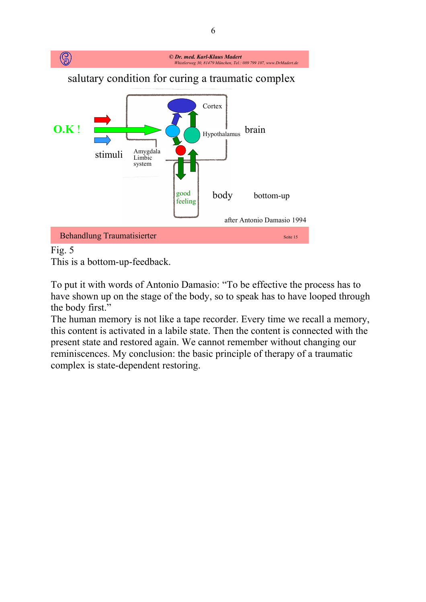

# Fig. 5

This is a bottom-up-feedback.

To put it with words of Antonio Damasio: "To be effective the process has to have shown up on the stage of the body, so to speak has to have looped through the body first."

The human memory is not like a tape recorder. Every time we recall a memory, this content is activated in a labile state. Then the content is connected with the present state and restored again. We cannot remember without changing our reminiscences. My conclusion: the basic principle of therapy of a traumatic complex is state-dependent restoring.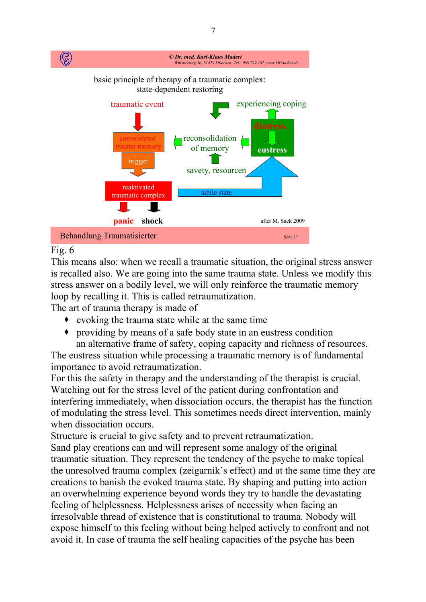

# Fig.  $6$

This means also: when we recall a traumatic situation, the original stress answer is recalled also. We are going into the same trauma state. Unless we modify this stress answer on a bodily level, we will only reinforce the traumatic memory loop by recalling it. This is called retraumatization.

The art of trauma therapy is made of

- evoking the trauma state while at the same time
- providing by means of a safe body state in an eustress condition an alternative frame of safety, coping capacity and richness of resources.

The eustress situation while processing a traumatic memory is of fundamental importance to avoid retraumatization.

For this the safety in therapy and the understanding of the therapist is crucial. Watching out for the stress level of the patient during confrontation and interfering immediately, when dissociation occurs, the therapist has the function of modulating the stress level. This sometimes needs direct intervention, mainly when dissociation occurs.

Structure is crucial to give safety and to prevent retraumatization.

Sand play creations can and will represent some analogy of the original traumatic situation. They represent the tendency of the psyche to make topical the unresolved trauma complex (zeigarnik's effect) and at the same time they are creations to banish the evoked trauma state. By shaping and putting into action an overwhelming experience beyond words they try to handle the devastating feeling of helplessness. Helplessness arises of necessity when facing an irresolvable thread of existence that is constitutional to trauma. Nobody will expose himself to this feeling without being helped actively to confront and not avoid it. In case of trauma the self healing capacities of the psyche has been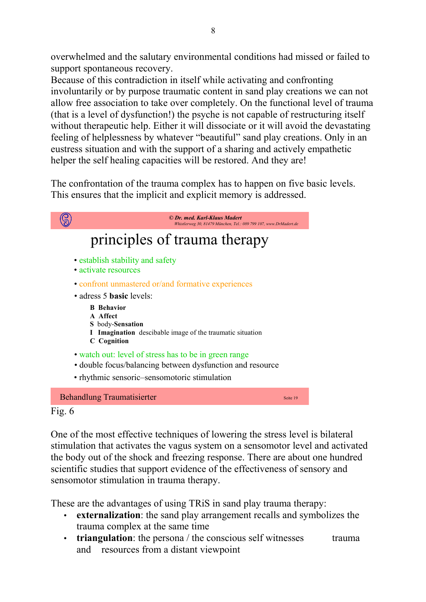overwhelmed and the salutary environmental conditions had missed or failed to support spontaneous recovery.

Because of this contradiction in itself while activating and confronting involuntarily or by purpose traumatic content in sand play creations we can not allow free association to take over completely. On the functional level of trauma (that is a level of dysfunction!) the psyche is not capable of restructuring itself without therapeutic help. Either it will dissociate or it will avoid the devastating feeling of helplessness by whatever "beautiful" sand play creations. Only in an eustress situation and with the support of a sharing and actively empathetic helper the self healing capacities will be restored. And they are!

The confrontation of the trauma complex has to happen on five basic levels. This ensures that the implicit and explicit memory is addressed.

|                              | © Dr. med. Karl-Klaus Madert<br>Whistlerweg 30, 81479 München, Tel.: 089 799 107, www.DrMadert.de                                                                  |          |
|------------------------------|--------------------------------------------------------------------------------------------------------------------------------------------------------------------|----------|
| principles of trauma therapy |                                                                                                                                                                    |          |
|                              | • establish stability and safety<br>• activate resources                                                                                                           |          |
|                              | • confront unmastered or/and formative experiences                                                                                                                 |          |
|                              | • adress 5 <b>basic</b> levels:                                                                                                                                    |          |
|                              | <b>B</b> Behavior<br>A Affect<br>S body-Sensation<br><b>Imagination</b> descibable image of the traumatic situation<br><b>C</b> Cognition                          |          |
|                              | • watch out: level of stress has to be in green range<br>• double focus/balancing between dysfunction and resource<br>• rhythmic sensoric-sensomotoric stimulation |          |
|                              | <b>Behandlung Traumatisierter</b>                                                                                                                                  | Seite 19 |
| Fig. $6$                     |                                                                                                                                                                    |          |

One of the most effective techniques of lowering the stress level is bilateral stimulation that activates the vagus system on a sensomotor level and activated the body out of the shock and freezing response. There are about one hundred scientific studies that support evidence of the effectiveness of sensory and sensomotor stimulation in trauma therapy.

These are the advantages of using TRiS in sand play trauma therapy:

- **externalization**: the sand play arrangement recalls and symbolizes the trauma complex at the same time
- **triangulation**: the persona / the conscious self witnesses trauma and resources from a distant viewpoint